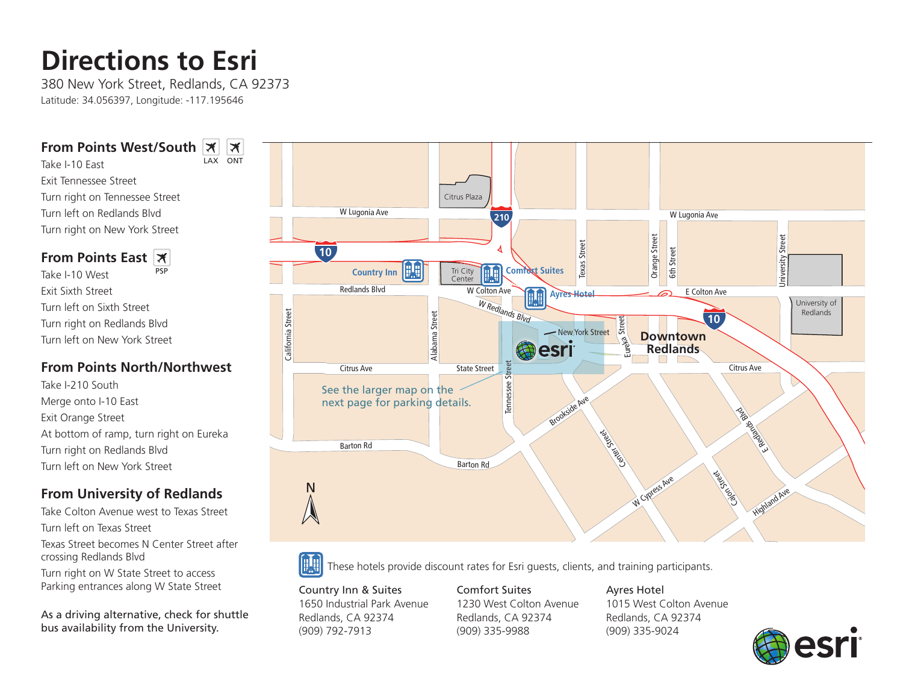# **Directions to Esri**

380 New York Street, Redlands, CA 92373 Latitude: 34.056397, Longitude: -117.195646

LAX ONT

 $|\mathcal{X}|$ 

#### **From Points West/South**

Take I-10 East Exit Tennessee Street Turn right on Tennessee Street Turn left on Redlands Blvd Turn right on New York Street

#### **From Points East**

Take I-10 West Exit Sixth Street Turn left on Sixth Street Turn right on Redlands Blvd Turn left on New York Street PSP

### **From Points North/Northwest**

Take I-210 South Merge onto I-10 East Exit Orange Street At bottom of ramp, turn right on Eureka Turn right on Redlands Blvd Turn left on New York Street

## **From University of Redlands**

Take Colton Avenue west to Texas Street Turn left on Texas Street

Texas Street becomes N Center Street after crossing Redlands Blvd

Turn right on W State Street to access Parking entrances along W State Street

As a driving alternative, check for shuttle bus availability from the University.





These hotels provide discount rates for Esri guests, clients, and training participants.

Country Inn & Suites 1650 Industrial Park Avenue Redlands, CA 92374 (909) 792-7913

Comfort Suites 1230 West Colton Avenue Redlands, CA 92374 (909) 335-9988

Ayres Hotel 1015 West Colton Avenue Redlands, CA 92374 (909) 335-9024